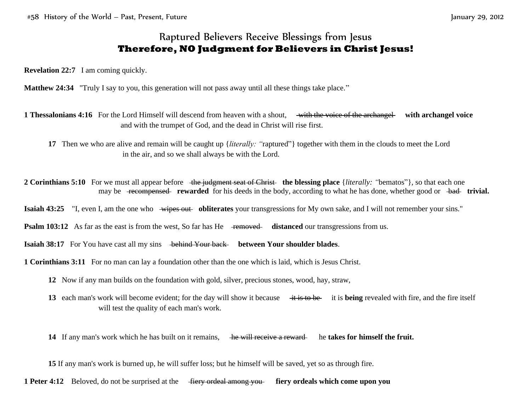## Raptured Believers Receive Blessings from Jesus **Therefore, NO Judgment for Believers in Christ Jesus!**

**Revelation 22:7** I am coming quickly.

**Matthew 24:34** "Truly I say to you, this generation will not pass away until all these things take place."

**1 Thessalonians 4:16** For the Lord Himself will descend from heaven with a shout, with the voice of the archangel **with archangel voice** and with the trumpet of God, and the dead in Christ will rise first.

**17** Then we who are alive and remain will be caught up {*literally: "*raptured"} together with them in the clouds to meet the Lord in the air, and so we shall always be with the Lord.

**2 Corinthians 5:10** For we must all appear before the judgment seat of Christ the blessing place {*literally: "bematos"*}, so that each one may be <del>recompensed</del> **rewarded** for his deeds in the body, according to what he has done, whether good or bad **trivial.** 

**Isaiah 43:25** "I, even I, am the one who wipes out obliterates your transgressions for My own sake, and I will not remember your sins."

**Psalm 103:12** As far as the east is from the west, So far has He removed distanced our transgressions from us.

**Isaiah 38:17** For You have cast all my sins behind Your back between Your shoulder blades.

**1 Corinthians 3:11** For no man can lay a foundation other than the one which is laid, which is Jesus Christ.

**12** Now if any man builds on the foundation with gold, silver, precious stones, wood, hay, straw,

**13** each man's work will become evident; for the day will show it because  $\frac{1}{2}$  is being revealed with fire, and the fire itself will test the quality of each man's work.

**14** If any man's work which he has built on it remains, he will receive a reward he **takes for himself the fruit.** 

**15** If any man's work is burned up, he will suffer loss; but he himself will be saved, yet so as through fire.

**1 Peter 4:12** Beloved, do not be surprised at the fiery ordeal among you **fiery ordeals which come upon you**